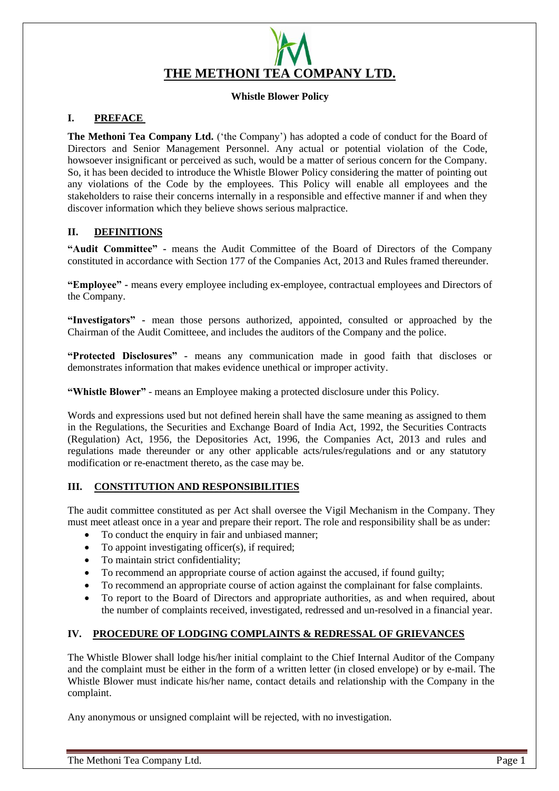

### **Whistle Blower Policy**

# **I. PREFACE**

**The Methoni Tea Company Ltd.** ('the Company') has adopted a code of conduct for the Board of Directors and Senior Management Personnel. Any actual or potential violation of the Code, howsoever insignificant or perceived as such, would be a matter of serious concern for the Company. So, it has been decided to introduce the Whistle Blower Policy considering the matter of pointing out any violations of the Code by the employees. This Policy will enable all employees and the stakeholders to raise their concerns internally in a responsible and effective manner if and when they discover information which they believe shows serious malpractice.

## **II. DEFINITIONS**

**"Audit Committee" -** means the Audit Committee of the Board of Directors of the Company constituted in accordance with Section 177 of the Companies Act, 2013 and Rules framed thereunder.

**"Employee" -** means every employee including ex-employee, contractual employees and Directors of the Company.

**"Investigators" -** mean those persons authorized, appointed, consulted or approached by the Chairman of the Audit Comitteee, and includes the auditors of the Company and the police.

**"Protected Disclosures" -** means any communication made in good faith that discloses or demonstrates information that makes evidence unethical or improper activity.

**"Whistle Blower"** - means an Employee making a protected disclosure under this Policy.

Words and expressions used but not defined herein shall have the same meaning as assigned to them in the Regulations, the Securities and Exchange Board of India Act, 1992, the Securities Contracts (Regulation) Act, 1956, the Depositories Act, 1996, the Companies Act, 2013 and rules and regulations made thereunder or any other applicable acts/rules/regulations and or any statutory modification or re-enactment thereto, as the case may be.

## **III. CONSTITUTION AND RESPONSIBILITIES**

The audit committee constituted as per Act shall oversee the Vigil Mechanism in the Company. They must meet atleast once in a year and prepare their report. The role and responsibility shall be as under:

- To conduct the enquiry in fair and unbiased manner;
- To appoint investigating officer(s), if required;
- To maintain strict confidentiality;
- To recommend an appropriate course of action against the accused, if found guilty;
- To recommend an appropriate course of action against the complainant for false complaints.
- To report to the Board of Directors and appropriate authorities, as and when required, about the number of complaints received, investigated, redressed and un-resolved in a financial year.

## **IV. PROCEDURE OF LODGING COMPLAINTS & REDRESSAL OF GRIEVANCES**

The Whistle Blower shall lodge his/her initial complaint to the Chief Internal Auditor of the Company and the complaint must be either in the form of a written letter (in closed envelope) or by e-mail. The Whistle Blower must indicate his/her name, contact details and relationship with the Company in the complaint.

Any anonymous or unsigned complaint will be rejected, with no investigation.